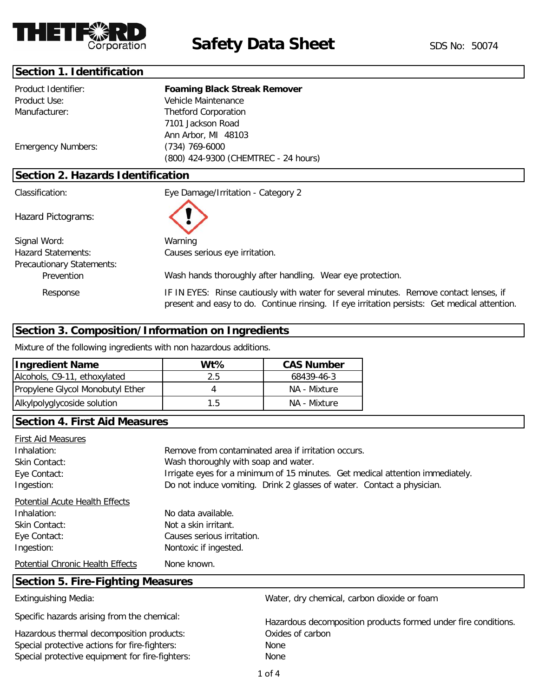

### **Section 1. Identification**

| Product Identifier:               | <b>Foaming Black Streak Remover</b>  |  |  |
|-----------------------------------|--------------------------------------|--|--|
| Product Use:                      | Vehicle Maintenance                  |  |  |
| Manufacturer:                     | <b>Thetford Corporation</b>          |  |  |
|                                   | 7101 Jackson Road                    |  |  |
|                                   | Ann Arbor, MI 48103                  |  |  |
| <b>Emergency Numbers:</b>         | (734) 769-6000                       |  |  |
|                                   | (800) 424-9300 (CHEMTREC - 24 hours) |  |  |
| Section 2. Hazards Identification |                                      |  |  |
| Classification:                   | Eye Damage/Irritation - Category 2   |  |  |
| Hazard Pictograms:                |                                      |  |  |
| Signal Word:                      | Warning                              |  |  |
| <b>Hazard Statements:</b>         | Causes serious eye irritation.       |  |  |
| <b>Precautionary Statements:</b>  |                                      |  |  |

Wash hands thoroughly after handling. Wear eye protection.

Prevention

Response

IF IN EYES: Rinse cautiously with water for several minutes. Remove contact lenses, if present and easy to do. Continue rinsing. If eye irritation persists: Get medical attention.

# **Section 3. Composition/Information on Ingredients**

Mixture of the following ingredients with non hazardous additions.

| <b>Ingredient Name</b>           | $Wt\%$ | <b>CAS Number</b> |
|----------------------------------|--------|-------------------|
| Alcohols, C9-11, ethoxylated     | 2.5    | 68439-46-3        |
| Propylene Glycol Monobutyl Ether |        | NA - Mixture      |
| Alkylpolyglycoside solution      | 1.5    | NA - Mixture      |

### **Section 4. First Aid Measures**

| <b>First Aid Measures</b>                |                                                                               |  |  |
|------------------------------------------|-------------------------------------------------------------------------------|--|--|
| Inhalation:                              | Remove from contaminated area if irritation occurs.                           |  |  |
| Skin Contact:                            | Wash thoroughly with soap and water.                                          |  |  |
| Eye Contact:                             | Irrigate eyes for a minimum of 15 minutes. Get medical attention immediately. |  |  |
| Ingestion:                               | Do not induce vomiting. Drink 2 glasses of water. Contact a physician.        |  |  |
| Potential Acute Health Effects           |                                                                               |  |  |
| Inhalation:                              | No data available.                                                            |  |  |
| Skin Contact:                            | Not a skin irritant.                                                          |  |  |
| Eye Contact:                             | Causes serious irritation.                                                    |  |  |
| Ingestion:                               | Nontoxic if ingested.                                                         |  |  |
| <b>Potential Chronic Health Effects</b>  | None known.                                                                   |  |  |
| <b>Section 5. Fire-Fighting Measures</b> |                                                                               |  |  |
| <b>Extinguishing Media:</b>              | Water, dry chemical, carbon dioxide or foam                                   |  |  |

Specific hazards arising from the chemical:

Hazardous thermal decomposition products: Special protective actions for fire-fighters: None Special protective equipment for fire-fighters: None

Hazardous decomposition products formed under fire conditions. Oxides of carbon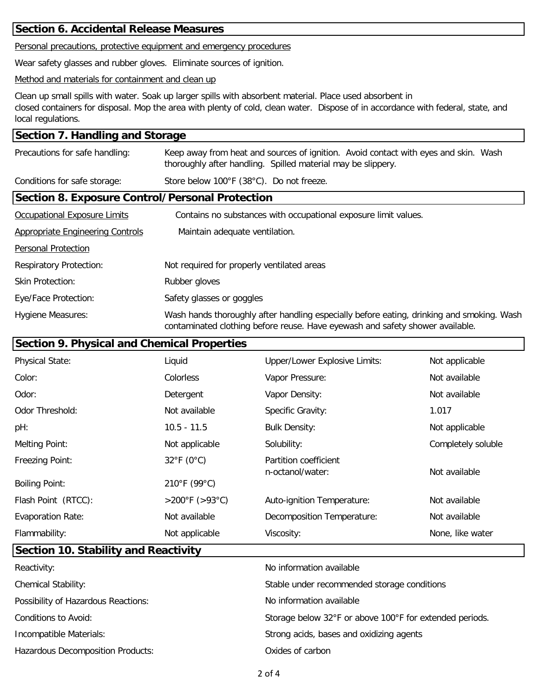### **Section 6. Accidental Release Measures**

Personal precautions, protective equipment and emergency procedures

Wear safety glasses and rubber gloves. Eliminate sources of ignition.

#### Method and materials for containment and clean up

Clean up small spills with water. Soak up larger spills with absorbent material. Place used absorbent in closed containers for disposal. Mop the area with plenty of cold, clean water. Dispose of in accordance with federal, state, and local regulations.

### **Section 7. Handling and Storage**

| Precautions for safe handling:                         | Keep away from heat and sources of ignition. Avoid contact with eyes and skin. Wash<br>thoroughly after handling. Spilled material may be slippery.                        |  |
|--------------------------------------------------------|----------------------------------------------------------------------------------------------------------------------------------------------------------------------------|--|
| Conditions for safe storage:                           | Store below 100°F (38°C). Do not freeze.                                                                                                                                   |  |
| <b>Section 8. Exposure Control/Personal Protection</b> |                                                                                                                                                                            |  |
| <b>Occupational Exposure Limits</b>                    | Contains no substances with occupational exposure limit values.                                                                                                            |  |
| <b>Appropriate Engineering Controls</b>                | Maintain adequate ventilation.                                                                                                                                             |  |
| <b>Personal Protection</b>                             |                                                                                                                                                                            |  |
| <b>Respiratory Protection:</b>                         | Not required for properly ventilated areas                                                                                                                                 |  |
| <b>Skin Protection:</b>                                | Rubber gloves                                                                                                                                                              |  |
| Eye/Face Protection:                                   | Safety glasses or goggles                                                                                                                                                  |  |
| <b>Hygiene Measures:</b>                               | Wash hands thoroughly after handling especially before eating, drinking and smoking. Wash<br>contaminated clothing before reuse. Have eyewash and safety shower available. |  |

# **Section 9. Physical and Chemical Properties**

| <b>Physical State:</b>   | Liquid               | <b>Upper/Lower Explosive Limits:</b>      | Not applicable     |
|--------------------------|----------------------|-------------------------------------------|--------------------|
| Color:                   | Colorless            | Vapor Pressure:                           | Not available      |
| Odor:                    | Detergent            | Vapor Density:                            | Not available      |
| Odor Threshold:          | Not available        | Specific Gravity:                         | 1.017              |
| pH:                      | $10.5 - 11.5$        | <b>Bulk Density:</b>                      | Not applicable     |
| Melting Point:           | Not applicable       | Solubility:                               | Completely soluble |
| Freezing Point:          | $32^{\circ}$ F (0°C) | Partition coefficient<br>n-octanol/water: | Not available      |
| <b>Boiling Point:</b>    | 210°F (99°C)         |                                           |                    |
| Flash Point (RTCC):      | >200°F (>93°C)       | Auto-ignition Temperature:                | Not available      |
| <b>Evaporation Rate:</b> | Not available        | Decomposition Temperature:                | Not available      |
| Flammability:            | Not applicable       | Viscosity:                                | None, like water   |

# **Section 10. Stability and Reactivity**

| Reactivity:                         | No information available                                |
|-------------------------------------|---------------------------------------------------------|
| <b>Chemical Stability:</b>          | Stable under recommended storage conditions             |
| Possibility of Hazardous Reactions: | No information available                                |
| Conditions to Avoid:                | Storage below 32°F or above 100°F for extended periods. |
| Incompatible Materials:             | Strong acids, bases and oxidizing agents                |
| Hazardous Decomposition Products:   | Oxides of carbon                                        |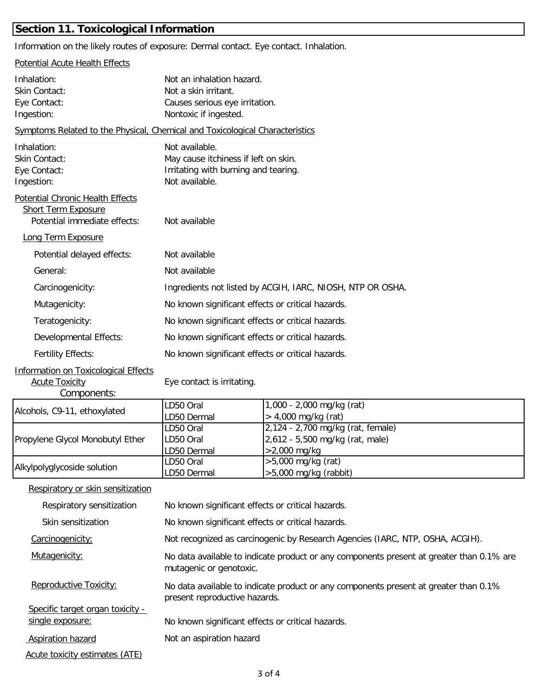# **Section 11. Toxicological Information**

Information on the likely routes of exposure: Dermal contact. Eye contact. Inhalation.

| <b>Potential Acute Health Effects</b>                                                                 |                                                                                                                  |                                                                                      |  |  |
|-------------------------------------------------------------------------------------------------------|------------------------------------------------------------------------------------------------------------------|--------------------------------------------------------------------------------------|--|--|
| Inhalation:<br>Skin Contact:<br>Eye Contact:<br>Ingestion:                                            | Not an inhalation hazard.<br>Not a skin irritant.<br>Causes serious eye irritation.<br>Nontoxic if ingested.     |                                                                                      |  |  |
| Symptoms Related to the Physical, Chemical and Toxicological Characteristics                          |                                                                                                                  |                                                                                      |  |  |
| Inhalation:<br>Skin Contact:<br>Eye Contact:<br>Ingestion:                                            | Not available.<br>May cause itchiness if left on skin.<br>Irritating with burning and tearing.<br>Not available. |                                                                                      |  |  |
| <b>Potential Chronic Health Effects</b><br><b>Short Term Exposure</b><br>Potential immediate effects: | Not available                                                                                                    |                                                                                      |  |  |
| Long Term Exposure                                                                                    |                                                                                                                  |                                                                                      |  |  |
| Potential delayed effects:                                                                            | Not available                                                                                                    |                                                                                      |  |  |
| General:                                                                                              | Not available                                                                                                    |                                                                                      |  |  |
| Carcinogenicity:                                                                                      | Ingredients not listed by ACGIH, IARC, NIOSH, NTP OR OSHA.                                                       |                                                                                      |  |  |
| Mutagenicity:                                                                                         | No known significant effects or critical hazards.                                                                |                                                                                      |  |  |
| Teratogenicity:                                                                                       | No known significant effects or critical hazards.                                                                |                                                                                      |  |  |
| Developmental Effects:                                                                                | No known significant effects or critical hazards.                                                                |                                                                                      |  |  |
| <b>Fertility Effects:</b>                                                                             | No known significant effects or critical hazards.                                                                |                                                                                      |  |  |
| <b>Information on Toxicological Effects</b><br><b>Acute Toxicity</b><br>Components:                   | Eye contact is irritating.                                                                                       |                                                                                      |  |  |
| Alcohols, C9-11, ethoxylated                                                                          | LD50 Oral<br>LD50 Dermal                                                                                         | 1,000 - 2,000 mg/kg (rat)<br>> 4,000 mg/kg (rat)                                     |  |  |
| Propylene Glycol Monobutyl Ether                                                                      | LD50 Oral<br>LD50 Oral<br>LD50 Dermal                                                                            | 2,124 - 2,700 mg/kg (rat, female)<br>2,612 - 5,500 mg/kg (rat, male)<br>>2,000 mg/kg |  |  |
| Alkylpolyglycoside solution                                                                           | LD50 Oral<br>LD50 Dermal                                                                                         | $>5,000$ mg/kg (rat)<br>$>5,000$ mg/kg (rabbit)                                      |  |  |
| Respiratory or skin sensitization                                                                     |                                                                                                                  |                                                                                      |  |  |
| Respiratory sensitization                                                                             | No known significant effects or critical hazards.                                                                |                                                                                      |  |  |
| Skin sensitization                                                                                    | No known significant effects or critical hazards.                                                                |                                                                                      |  |  |
| Carcinogenicity:                                                                                      | Not recognized as carcinogenic by Research Agencies (IARC, NTP, OSHA, ACGIH).                                    |                                                                                      |  |  |

Mutagenicity: No data available to indicate product or any components present at greater than 0.1% are mutagenic or genotoxic.

 Reproductive Toxicity: Specific target organ toxicity -No data available to indicate product or any components present at greater than 0.1% present reproductive hazards.

single exposure: No known significant effects or critical hazards.

Aspiration hazard Not an aspiration hazard

Acute toxicity estimates (ATE)